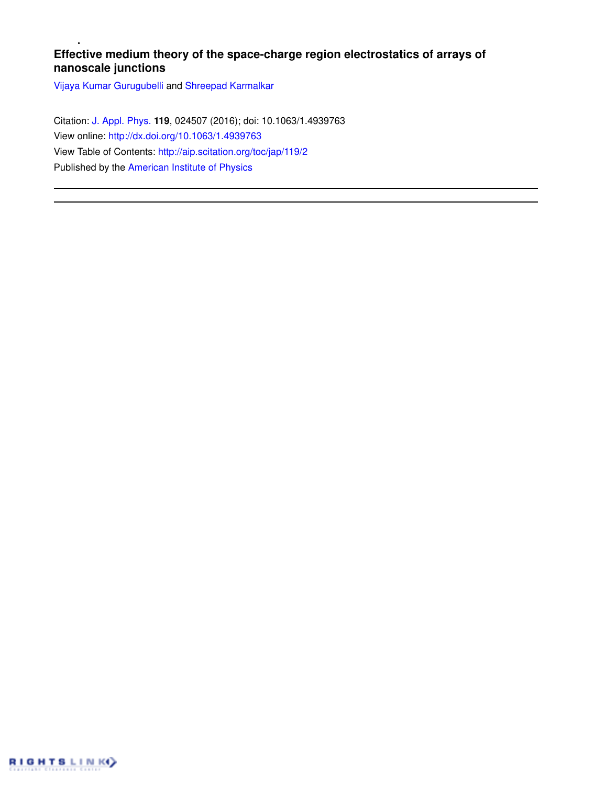# **Effective medium theory of the space-charge region electrostatics of arrays of nanoscale junctions**

Vijaya Kumar Gurugubelli and Shreepad Karmalkar

Citation: J. Appl. Phys. **119**, 024507 (2016); doi: 10.1063/1.4939763 View online: http://dx.doi.org/10.1063/1.4939763 View Table of Contents: http://aip.scitation.org/toc/jap/119/2 Published by the American Institute of Physics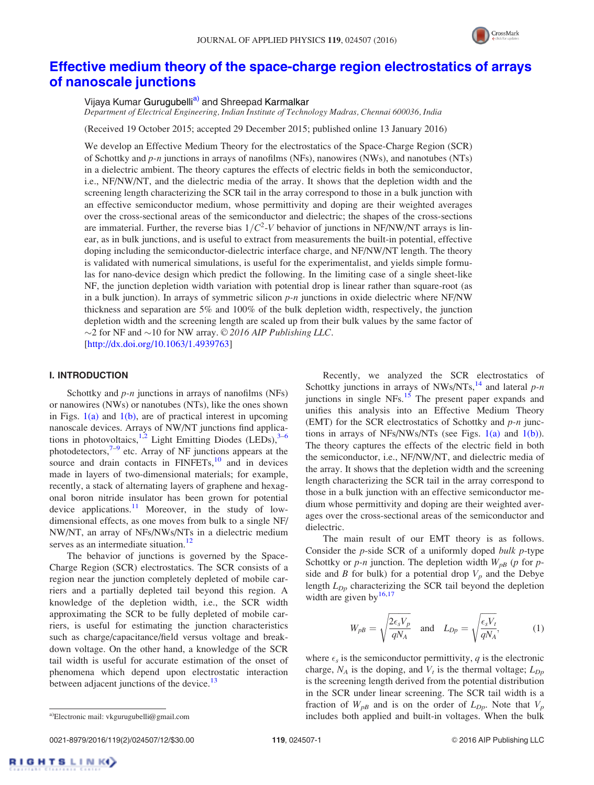

# Effective medium theory of the space-charge region electrostatics of arrays of nanoscale junctions

Vijaya Kumar Gurugubelli<sup>a)</sup> and Shreepad Karmalkar

*Department of Electrical Engineering, Indian Institute of Technology Madras, Chennai 600036, India*

(Received 19 October 2015; accepted 29 December 2015; published online 13 January 2016)

We develop an Effective Medium Theory for the electrostatics of the Space-Charge Region (SCR) of Schottky and *p-n* junctions in arrays of nanofilms (NFs), nanowires (NWs), and nanotubes (NTs) in a dielectric ambient. The theory captures the effects of electric fields in both the semiconductor, i.e., NF/NW/NT, and the dielectric media of the array. It shows that the depletion width and the screening length characterizing the SCR tail in the array correspond to those in a bulk junction with an effective semiconductor medium, whose permittivity and doping are their weighted averages over the cross-sectional areas of the semiconductor and dielectric; the shapes of the cross-sections are immaterial. Further, the reverse bias  $1/C<sup>2</sup>$ -*V* behavior of junctions in NF/NW/NT arrays is linear, as in bulk junctions, and is useful to extract from measurements the built-in potential, effective doping including the semiconductor-dielectric interface charge, and NF/NW/NT length. The theory is validated with numerical simulations, is useful for the experimentalist, and yields simple formulas for nano-device design which predict the following. In the limiting case of a single sheet-like NF, the junction depletion width variation with potential drop is linear rather than square-root (as in a bulk junction). In arrays of symmetric silicon *p-n* junctions in oxide dielectric where NF/NW thickness and separation are 5% and 100% of the bulk depletion width, respectively, the junction depletion width and the screening length are scaled up from their bulk values by the same factor of  $\sim$ 2 for NF and  $\sim$ 10 for NW array. © 2016 AIP Publishing LLC. [http://dx.doi.org/10.1063/1.4939763]

# I. INTRODUCTION

Schottky and *p-n* junctions in arrays of nanofilms (NFs) or nanowires (NWs) or nanotubes (NTs), like the ones shown in Figs.  $1(a)$  and  $1(b)$ , are of practical interest in upcoming nanoscale devices. Arrays of NW/NT junctions find applications in photovoltaics,  $1,2$  Light Emitting Diodes (LEDs),  $3-6$ photodetectors, $7-9$  etc. Array of NF junctions appears at the source and drain contacts in  $FINFETs$ ,  $^{10}$  and in devices made in layers of two-dimensional materials; for example, recently, a stack of alternating layers of graphene and hexagonal boron nitride insulator has been grown for potential device applications.<sup>11</sup> Moreover, in the study of lowdimensional effects, as one moves from bulk to a single NF/ NW/NT, an array of NFs/NWs/NTs in a dielectric medium serves as an intermediate situation.<sup>12</sup>

The behavior of junctions is governed by the Space-Charge Region (SCR) electrostatics. The SCR consists of a region near the junction completely depleted of mobile carriers and a partially depleted tail beyond this region. A knowledge of the depletion width, i.e., the SCR width approximating the SCR to be fully depleted of mobile carriers, is useful for estimating the junction characteristics such as charge/capacitance/field versus voltage and breakdown voltage. On the other hand, a knowledge of the SCR tail width is useful for accurate estimation of the onset of phenomena which depend upon electrostatic interaction between adjacent junctions of the device.<sup>13</sup>

The main result of our EMT theory is as follows. Consider the *p*-side SCR of a uniformly doped *bulk p*-type Schottky or  $p$ -*n* junction. The depletion width  $W_{pB}$  (*p* for  $p$ side and *B* for bulk) for a potential drop  $V_p$  and the Debye length  $L_{Dp}$  characterizing the SCR tail beyond the depletion width are given by  $16,17$ 

$$
W_{pB} = \sqrt{\frac{2\epsilon_s V_p}{qN_A}} \quad \text{and} \quad L_{Dp} = \sqrt{\frac{\epsilon_s V_t}{qN_A}}, \quad (1)
$$

where  $\epsilon_s$  is the semiconductor permittivity, *q* is the electronic charge,  $N_A$  is the doping, and  $V_t$  is the thermal voltage;  $L_{Dp}$ is the screening length derived from the potential distribution in the SCR under linear screening. The SCR tail width is a fraction of  $W_{pB}$  and is on the order of  $L_{Dp}$ . Note that  $V_p$ a)Electronic mail: vkgurugubelli@gmail.com **a)** includes both applied and built-in voltages. When the bulk

0021-8979/2016/119(2)/024507/12/\$30.00 119, 024507-1 © 2016 AIP Publishing LLC

Recently, we analyzed the SCR electrostatics of Schottky junctions in arrays of NWs/NTs,<sup>14</sup> and lateral *p-n* junctions in single NFs.<sup>15</sup> The present paper expands and unifies this analysis into an Effective Medium Theory (EMT) for the SCR electrostatics of Schottky and *p-n* junctions in arrays of NFs/NWs/NTs (see Figs.  $1(a)$  and  $1(b)$ ). The theory captures the effects of the electric field in both the semiconductor, i.e., NF/NW/NT, and dielectric media of the array. It shows that the depletion width and the screening length characterizing the SCR tail in the array correspond to those in a bulk junction with an effective semiconductor medium whose permittivity and doping are their weighted averages over the cross-sectional areas of the semiconductor and dielectric.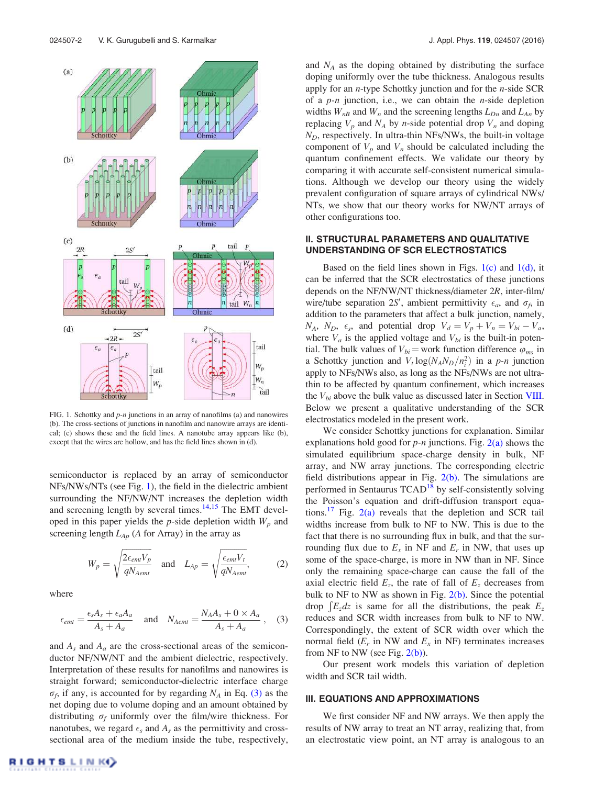

FIG. 1. Schottky and *p-n* junctions in an array of nanofilms (a) and nanowires (b). The cross-sections of junctions in nanofilm and nanowire arrays are identical; (c) shows these and the field lines. A nanotube array appears like (b), except that the wires are hollow, and has the field lines shown in (d).

semiconductor is replaced by an array of semiconductor NFs/NWs/NTs (see Fig. 1), the field in the dielectric ambient surrounding the NF/NW/NT increases the depletion width and screening length by several times. $14,15$  The EMT developed in this paper yields the *p*-side depletion width *W<sup>p</sup>* and screening length  $L_{Ap}$  (*A* for Array) in the array as

$$
W_p = \sqrt{\frac{2\epsilon_{emt}V_p}{qN_{Aemt}}} \quad \text{and} \quad L_{Ap} = \sqrt{\frac{\epsilon_{emt}V_t}{qN_{Aemt}}}, \tag{2}
$$

where

$$
\epsilon_{emt} = \frac{\epsilon_s A_s + \epsilon_a A_a}{A_s + A_a} \quad \text{and} \quad N_{Aemt} = \frac{N_A A_s + 0 \times A_a}{A_s + A_a} \,, \quad (3)
$$

and  $A_s$  and  $A_a$  are the cross-sectional areas of the semiconductor NF/NW/NT and the ambient dielectric, respectively. Interpretation of these results for nanofilms and nanowires is straight forward; semiconductor-dielectric interface charge  $\sigma_f$ , if any, is accounted for by regarding  $N_A$  in Eq. (3) as the net doping due to volume doping and an amount obtained by distributing  $\sigma_f$  uniformly over the film/wire thickness. For nanotubes, we regard  $\epsilon_s$  and  $A_s$  as the permittivity and crosssectional area of the medium inside the tube, respectively, and *N<sup>A</sup>* as the doping obtained by distributing the surface doping uniformly over the tube thickness. Analogous results apply for an *n*-type Schottky junction and for the *n*-side SCR of a *p-n* junction, i.e., we can obtain the *n*-side depletion widths  $W_{nB}$  and  $W_n$  and the screening lengths  $L_{Dn}$  and  $L_{An}$  by replacing  $V_p$  and  $N_A$  by *n*-side potential drop  $V_n$  and doping  $N_D$ , respectively. In ultra-thin NFs/NWs, the built-in voltage component of  $V_p$  and  $V_n$  should be calculated including the quantum confinement effects. We validate our theory by comparing it with accurate self-consistent numerical simulations. Although we develop our theory using the widely prevalent configuration of square arrays of cylindrical NWs/ NTs, we show that our theory works for NW/NT arrays of other configurations too.

# II. STRUCTURAL PARAMETERS AND QUALITATIVE UNDERSTANDING OF SCR ELECTROSTATICS

Based on the field lines shown in Figs.  $1(c)$  and  $1(d)$ , it can be inferred that the SCR electrostatics of these junctions depends on the NF/NW/NT thickness/diameter 2*R*, inter-film/ wire/tube separation 2*S'*, ambient permittivity  $\epsilon_a$ , and  $\sigma_f$ , in addition to the parameters that affect a bulk junction, namely,  $N_A$ ,  $N_D$ ,  $\epsilon_s$ , and potential drop  $V_d = V_p + V_n = V_{bi} - V_a$ , where  $V_a$  is the applied voltage and  $V_{bi}$  is the built-in potential. The bulk values of  $V_{bi}$  = work function difference  $\varphi_{ms}$  in a Schottky junction and  $V_t \log(N_A N_D/n_i^2)$  in a *p-n* junction apply to NFs/NWs also, as long as the NFs/NWs are not ultrathin to be affected by quantum confinement, which increases the  $V_{bi}$  above the bulk value as discussed later in Section VIII. Below we present a qualitative understanding of the SCR electrostatics modeled in the present work.

We consider Schottky junctions for explanation. Similar explanations hold good for *p-n* junctions. Fig. 2(a) shows the simulated equilibrium space-charge density in bulk, NF array, and NW array junctions. The corresponding electric field distributions appear in Fig. 2(b). The simulations are performed in Sentaurus TCAD<sup>18</sup> by self-consistently solving the Poisson's equation and drift-diffusion transport equations.<sup>17</sup> Fig.  $2(a)$  reveals that the depletion and SCR tail widths increase from bulk to NF to NW. This is due to the fact that there is no surrounding flux in bulk, and that the surrounding flux due to  $E_x$  in NF and  $E_r$  in NW, that uses up some of the space-charge, is more in NW than in NF. Since only the remaining space-charge can cause the fall of the axial electric field  $E_z$ , the rate of fall of  $E_z$  decreases from bulk to NF to NW as shown in Fig. 2(b). Since the potential drop  $\int E_z dz$  is same for all the distributions, the peak  $E_z$ reduces and SCR width increases from bulk to NF to NW. Correspondingly, the extent of SCR width over which the normal field  $(E_r$  in NW and  $E_x$  in NF) terminates increases from NF to NW (see Fig.  $2(b)$ ).

Our present work models this variation of depletion width and SCR tail width.

## III. EQUATIONS AND APPROXIMATIONS

We first consider NF and NW arrays. We then apply the results of NW array to treat an NT array, realizing that, from an electrostatic view point, an NT array is analogous to an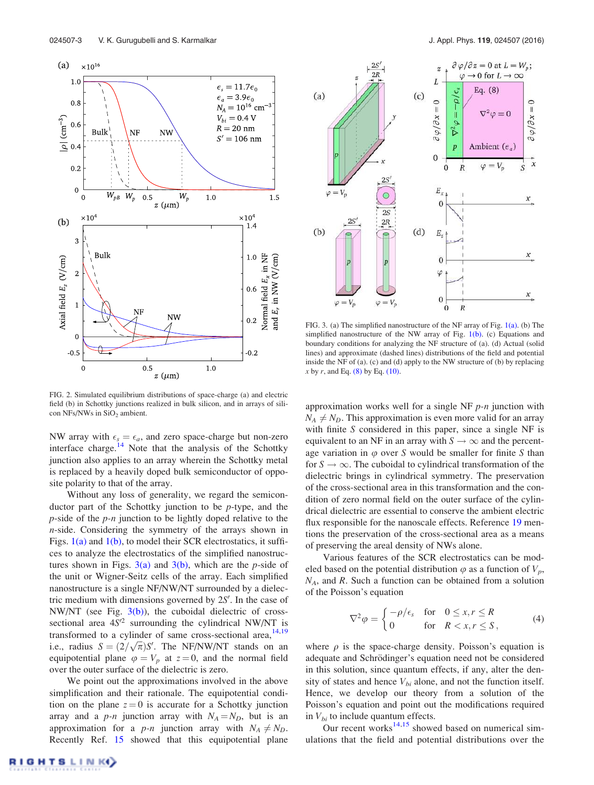

FIG. 2. Simulated equilibrium distributions of space-charge (a) and electric field (b) in Schottky junctions realized in bulk silicon, and in arrays of silicon NFs/NWs in  $SiO<sub>2</sub>$  ambient.

NW array with  $\epsilon_s = \epsilon_a$ , and zero space-charge but non-zero interface charge.<sup>14</sup> Note that the analysis of the Schottky junction also applies to an array wherein the Schottky metal is replaced by a heavily doped bulk semiconductor of opposite polarity to that of the array.

Without any loss of generality, we regard the semiconductor part of the Schottky junction to be *p*-type, and the *p*-side of the *p-n* junction to be lightly doped relative to the *n*-side. Considering the symmetry of the arrays shown in Figs.  $1(a)$  and  $1(b)$ , to model their SCR electrostatics, it suffices to analyze the electrostatics of the simplified nanostructures shown in Figs.  $3(a)$  and  $3(b)$ , which are the *p*-side of the unit or Wigner-Seitz cells of the array. Each simplified nanostructure is a single NF/NW/NT surrounded by a dielectric medium with dimensions governed by 2*S'*. In the case of NW/NT (see Fig.  $3(b)$ ), the cuboidal dielectric of crosssectional area  $4S^2$  surrounding the cylindrical NW/NT is transformed to a cylinder of same cross-sectional area,  $14,19$ i.e., radius  $S = (2/\sqrt{\pi})S'$ . The NF/NW/NT stands on an equipotential plane  $\varphi = V_p$  at  $z = 0$ , and the normal field over the outer surface of the dielectric is zero.

We point out the approximations involved in the above simplification and their rationale. The equipotential condition on the plane  $z = 0$  is accurate for a Schottky junction array and a *p-n* junction array with  $N_A = N_D$ , but is an approximation for a *p*-*n* junction array with  $N_A \neq N_D$ . Recently Ref. 15 showed that this equipotential plane



FIG. 3. (a) The simplified nanostructure of the NF array of Fig.  $1(a)$ . (b) The simplified nanostructure of the NW array of Fig. 1(b). (c) Equations and boundary conditions for analyzing the NF structure of (a). (d) Actual (solid lines) and approximate (dashed lines) distributions of the field and potential inside the NF of (a). (c) and (d) apply to the NW structure of (b) by replacing *x* by *r*, and Eq. (8) by Eq. (10).

approximation works well for a single NF *p-n* junction with  $N_A \neq N_D$ . This approximation is even more valid for an array with finite *S* considered in this paper, since a single NF is equivalent to an NF in an array with  $S \to \infty$  and the percentage variation in  $\varphi$  over *S* would be smaller for finite *S* than for  $S \to \infty$ . The cuboidal to cylindrical transformation of the dielectric brings in cylindrical symmetry. The preservation of the cross-sectional area in this transformation and the condition of zero normal field on the outer surface of the cylindrical dielectric are essential to conserve the ambient electric flux responsible for the nanoscale effects. Reference 19 mentions the preservation of the cross-sectional area as a means of preserving the areal density of NWs alone.

Various features of the SCR electrostatics can be modeled based on the potential distribution  $\varphi$  as a function of  $V_p$ , *NA*, and *R*. Such a function can be obtained from a solution of the Poisson's equation

$$
\nabla^2 \varphi = \begin{cases}\n-\rho/\epsilon_s & \text{for} \quad 0 \le x, r \le R \\
0 & \text{for} \quad R < x, r \le S\n\end{cases}\n\tag{4}
$$

where  $\rho$  is the space-charge density. Poisson's equation is adequate and Schrödinger's equation need not be considered in this solution, since quantum effects, if any, alter the density of states and hence  $V_{bi}$  alone, and not the function itself. Hence, we develop our theory from a solution of the Poisson's equation and point out the modifications required in  $V_{bi}$  to include quantum effects.

Our recent works $14,15$  showed based on numerical simulations that the field and potential distributions over the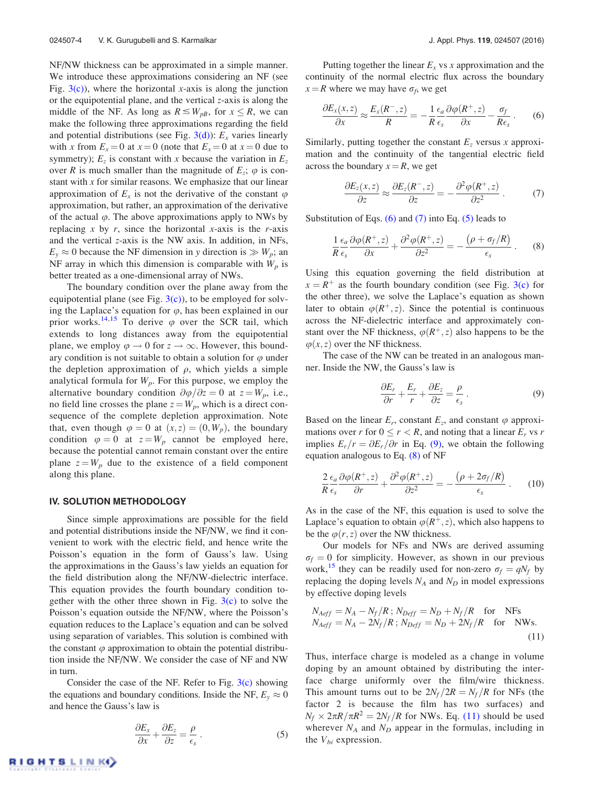NF/NW thickness can be approximated in a simple manner. We introduce these approximations considering an NF (see Fig.  $3(c)$ ), where the horizontal *x*-axis is along the junction or the equipotential plane, and the vertical *z*-axis is along the middle of the NF. As long as  $R \leq W_{pB}$ , for  $x \leq R$ , we can make the following three approximations regarding the field and potential distributions (see Fig.  $3(d)$ ):  $E<sub>x</sub>$  varies linearly with *x* from  $E_x = 0$  at  $x = 0$  (note that  $E_x = 0$  at  $x = 0$  due to symmetry);  $E_z$  is constant with *x* because the variation in  $E_z$ over *R* is much smaller than the magnitude of  $E_z$ ;  $\varphi$  is constant with *x* for similar reasons. We emphasize that our linear approximation of  $E_x$  is not the derivative of the constant  $\varphi$ approximation, but rather, an approximation of the derivative of the actual  $\varphi$ . The above approximations apply to NWs by replacing  $x$  by  $r$ , since the horizontal  $x$ -axis is the  $r$ -axis and the vertical *z*-axis is the NW axis. In addition, in NFs,  $E_y \approx 0$  because the NF dimension in *y* direction is  $\gg W_p$ ; and NF array in which this dimension is comparable with  $W_p$  is better treated as a one-dimensional array of NWs.

The boundary condition over the plane away from the equipotential plane (see Fig.  $3(c)$ ), to be employed for solving the Laplace's equation for  $\varphi$ , has been explained in our prior works.<sup>14,15</sup> To derive  $\varphi$  over the SCR tail, which extends to long distances away from the equipotential plane, we employ  $\varphi \to 0$  for  $z \to \infty$ . However, this boundary condition is not suitable to obtain a solution for  $\varphi$  under the depletion approximation of  $\rho$ , which yields a simple analytical formula for  $W_p$ . For this purpose, we employ the alternative boundary condition  $\partial \varphi / \partial z = 0$  at  $z = W_p$ , i.e., no field line crosses the plane  $z = W_p$ , which is a direct consequence of the complete depletion approximation. Note that, even though  $\varphi = 0$  at  $(x, z) = (0, W_p)$ , the boundary condition  $\varphi = 0$  at  $z = W_p$  cannot be employed here, because the potential cannot remain constant over the entire plane  $z = W_p$  due to the existence of a field component along this plane.

### IV. SOLUTION METHODOLOGY

Since simple approximations are possible for the field and potential distributions inside the NF/NW, we find it convenient to work with the electric field, and hence write the Poisson's equation in the form of Gauss's law. Using the approximations in the Gauss's law yields an equation for the field distribution along the NF/NW-dielectric interface. This equation provides the fourth boundary condition together with the other three shown in Fig.  $3(c)$  to solve the Poisson's equation outside the NF/NW, where the Poisson's equation reduces to the Laplace's equation and can be solved using separation of variables. This solution is combined with the constant  $\varphi$  approximation to obtain the potential distribution inside the NF/NW. We consider the case of NF and NW in turn.

Consider the case of the NF. Refer to Fig.  $3(c)$  showing the equations and boundary conditions. Inside the NF,  $E_y \approx 0$ and hence the Gauss's law is

$$
\frac{\partial E_x}{\partial x} + \frac{\partial E_z}{\partial z} = \frac{\rho}{\epsilon_s} \,. \tag{5}
$$

Putting together the linear  $E_x$  vs *x* approximation and the continuity of the normal electric flux across the boundary  $x = R$  where we may have  $\sigma_f$ , we get

$$
\frac{\partial E_x(x,z)}{\partial x} \approx \frac{E_x(R^-,z)}{R} = -\frac{1}{R}\frac{\epsilon_a}{\epsilon_s} \frac{\partial \varphi(R^+,z)}{\partial x} - \frac{\sigma_f}{R\epsilon_s} \,. \tag{6}
$$

Similarly, putting together the constant  $E_z$  versus *x* approximation and the continuity of the tangential electric field across the boundary  $x = R$ , we get

$$
\frac{\partial E_z(x,z)}{\partial z} \approx \frac{\partial E_z(R^-,z)}{\partial z} = -\frac{\partial^2 \varphi(R^+,z)}{\partial z^2} \,. \tag{7}
$$

Substitution of Eqs.  $(6)$  and  $(7)$  into Eq.  $(5)$  leads to

$$
\frac{1}{R}\frac{\epsilon_a}{\epsilon_s}\frac{\partial\varphi(R^+,z)}{\partial x} + \frac{\partial^2\varphi(R^+,z)}{\partial z^2} = -\frac{(\rho + \sigma_f/R)}{\epsilon_s} \ . \tag{8}
$$

Using this equation governing the field distribution at  $x = R^+$  as the fourth boundary condition (see Fig. 3(c) for the other three), we solve the Laplace's equation as shown later to obtain  $\varphi(R^+, z)$ . Since the potential is continuous across the NF-dielectric interface and approximately constant over the NF thickness,  $\varphi(R^+, z)$  also happens to be the  $\varphi(x, z)$  over the NF thickness.

The case of the NW can be treated in an analogous manner. Inside the NW, the Gauss's law is

$$
\frac{\partial E_r}{\partial r} + \frac{E_r}{r} + \frac{\partial E_z}{\partial z} = \frac{\rho}{\epsilon_s} \,. \tag{9}
$$

Based on the linear  $E_r$ , constant  $E_z$ , and constant  $\varphi$  approximations over *r* for  $0 \le r < R$ , and noting that a linear  $E_r$  vs *r* implies  $E_r/r = \partial E_r/\partial r$  in Eq. (9), we obtain the following equation analogous to Eq. (8) of NF

$$
\frac{2}{R}\frac{\epsilon_a}{\epsilon_s}\frac{\partial\varphi(R^+,z)}{\partial r} + \frac{\partial^2\varphi(R^+,z)}{\partial z^2} = -\frac{(\rho + 2\sigma_f/R)}{\epsilon_s} \,. \tag{10}
$$

As in the case of the NF, this equation is used to solve the Laplace's equation to obtain  $\varphi(R^+, z)$ , which also happens to be the  $\varphi(r, z)$  over the NW thickness.

Our models for NFs and NWs are derived assuming  $\sigma_f = 0$  for simplicity. However, as shown in our previous work,<sup>15</sup> they can be readily used for non-zero  $\sigma_f = qN_f$  by replacing the doping levels  $N_A$  and  $N_D$  in model expressions by effective doping levels

$$
N_{Aeff} = N_A - N_f/R
$$
;  $N_{Deff} = N_D + N_f/R$  for NFs  
\n
$$
N_{Aeff} = N_A - 2N_f/R
$$
;  $N_{Deff} = N_D + 2N_f/R$  for NWs. (11)

Thus, interface charge is modeled as a change in volume doping by an amount obtained by distributing the interface charge uniformly over the film/wire thickness. This amount turns out to be  $2N_f/2R = N_f/R$  for NFs (the factor 2 is because the film has two surfaces) and  $N_f \times 2\pi R/\pi R^2 = 2N_f/R$  for NWs. Eq. (11) should be used wherever  $N_A$  and  $N_D$  appear in the formulas, including in the *Vbi* expression.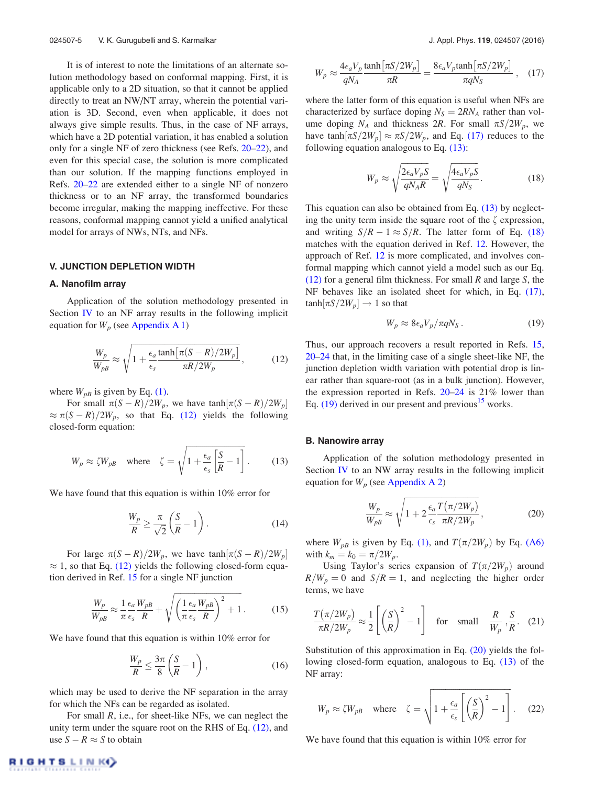It is of interest to note the limitations of an alternate solution methodology based on conformal mapping. First, it is applicable only to a 2D situation, so that it cannot be applied directly to treat an NW/NT array, wherein the potential variation is 3D. Second, even when applicable, it does not always give simple results. Thus, in the case of NF arrays, which have a 2D potential variation, it has enabled a solution only for a single NF of zero thickness (see Refs. 20–22), and even for this special case, the solution is more complicated than our solution. If the mapping functions employed in Refs. 20–22 are extended either to a single NF of nonzero thickness or to an NF array, the transformed boundaries become irregular, making the mapping ineffective. For these reasons, conformal mapping cannot yield a unified analytical model for arrays of NWs, NTs, and NFs.

# V. JUNCTION DEPLETION WIDTH

#### A. Nanofilm array

Application of the solution methodology presented in Section IV to an NF array results in the following implicit equation for  $W_p$  (see Appendix A 1)

$$
\frac{W_p}{W_{pB}} \approx \sqrt{1 + \frac{\epsilon_a \tanh\left[\pi (S - R)/2W_p\right]}{\pi R/2W_p}},\tag{12}
$$

where  $W_{pB}$  is given by Eq. (1).

For small  $\pi(S-R)/2W_p$ , we have  $\tanh[\pi(S-R)/2W_p]$  $\approx \pi(S-R)/2W_p$ , so that Eq. (12) yields the following closed-form equation:

$$
W_p \approx \zeta W_{pB} \quad \text{where} \quad \zeta = \sqrt{1 + \frac{\epsilon_a}{\epsilon_s} \left[ \frac{S}{R} - 1 \right]} \,. \tag{13}
$$

We have found that this equation is within 10% error for

$$
\frac{W_p}{R} \ge \frac{\pi}{\sqrt{2}} \left( \frac{S}{R} - 1 \right). \tag{14}
$$

For large  $\pi(S-R)/2W_p$ , we have tanh $[\pi(S-R)/2W_p]$  $\approx$  1, so that Eq. (12) yields the following closed-form equation derived in Ref. 15 for a single NF junction

$$
\frac{W_p}{W_{pB}} \approx \frac{1}{\pi} \frac{\epsilon_a}{\epsilon_s} \frac{W_{pB}}{R} + \sqrt{\left(\frac{1}{\pi} \frac{\epsilon_a}{\epsilon_s} \frac{W_{pB}}{R}\right)^2 + 1}.
$$
 (15)

We have found that this equation is within 10% error for

$$
\frac{W_p}{R} \le \frac{3\pi}{8} \left(\frac{S}{R} - 1\right),\tag{16}
$$

which may be used to derive the NF separation in the array for which the NFs can be regarded as isolated.

For small *R*, i.e., for sheet-like NFs, we can neglect the unity term under the square root on the RHS of Eq. (12), and use  $S - R \approx S$  to obtain

$$
W_p \approx \frac{4\epsilon_a V_p}{qN_A} \frac{\tanh\left[\pi S/2W_p\right]}{\pi R} = \frac{8\epsilon_a V_p \tanh\left[\pi S/2W_p\right]}{\pi q N_S} \,, \quad (17)
$$

where the latter form of this equation is useful when NFs are characterized by surface doping  $N_S = 2RN_A$  rather than volume doping  $N_A$  and thickness 2*R*. For small  $\pi S/2W_p$ , we have tanh $[\pi S/2W_p] \approx \pi S/2W_p$ , and Eq. (17) reduces to the following equation analogous to Eq. (13):

$$
W_p \approx \sqrt{\frac{2\epsilon_a V_p S}{q N_A R}} = \sqrt{\frac{4\epsilon_a V_p S}{q N_S}}.
$$
 (18)

This equation can also be obtained from Eq. (13) by neglecting the unity term inside the square root of the  $\zeta$  expression, and writing  $S/R - 1 \approx S/R$ . The latter form of Eq. (18) matches with the equation derived in Ref. 12. However, the approach of Ref. 12 is more complicated, and involves conformal mapping which cannot yield a model such as our Eq. (12) for a general film thickness. For small *R* and large *S*, the NF behaves like an isolated sheet for which, in Eq. (17),  $\tanh[\pi S/2W_p] \rightarrow 1$  so that

$$
W_p \approx 8\epsilon_a V_p / \pi q N_S \,. \tag{19}
$$

Thus, our approach recovers a result reported in Refs. 15, 20–24 that, in the limiting case of a single sheet-like NF, the junction depletion width variation with potential drop is linear rather than square-root (as in a bulk junction). However, the expression reported in Refs. 20–24 is 21% lower than Eq.  $(19)$  derived in our present and previous<sup>15</sup> works.

#### B. Nanowire array

Application of the solution methodology presented in Section IV to an NW array results in the following implicit equation for  $W_p$  (see Appendix A 2)

$$
\frac{W_p}{W_{pB}} \approx \sqrt{1 + 2\frac{\epsilon_a}{\epsilon_s} \frac{T(\pi/2W_p)}{\pi R/2W_p}},
$$
\n(20)

where  $W_{pB}$  is given by Eq. (1), and  $T(\pi/2W_p)$  by Eq. (A6) with  $k_m = k_0 = \pi/2W_p$ .

Using Taylor's series expansion of  $T(\pi/2W_p)$  around  $R/W_p = 0$  and  $S/R = 1$ , and neglecting the higher order terms, we have

$$
\frac{T(\pi/2W_p)}{\pi R/2W_p} \approx \frac{1}{2} \left[ \left( \frac{S}{R} \right)^2 - 1 \right] \quad \text{for small} \quad \frac{R}{W_p}, \frac{S}{R}. \quad (21)
$$

Substitution of this approximation in Eq.  $(20)$  yields the following closed-form equation, analogous to Eq. (13) of the NF array:

$$
W_p \approx \zeta W_{pB}
$$
 where  $\zeta = \sqrt{1 + \frac{\epsilon_a}{\epsilon_s} \left[ \left( \frac{S}{R} \right)^2 - 1 \right]}$ . (22)

We have found that this equation is within 10% error for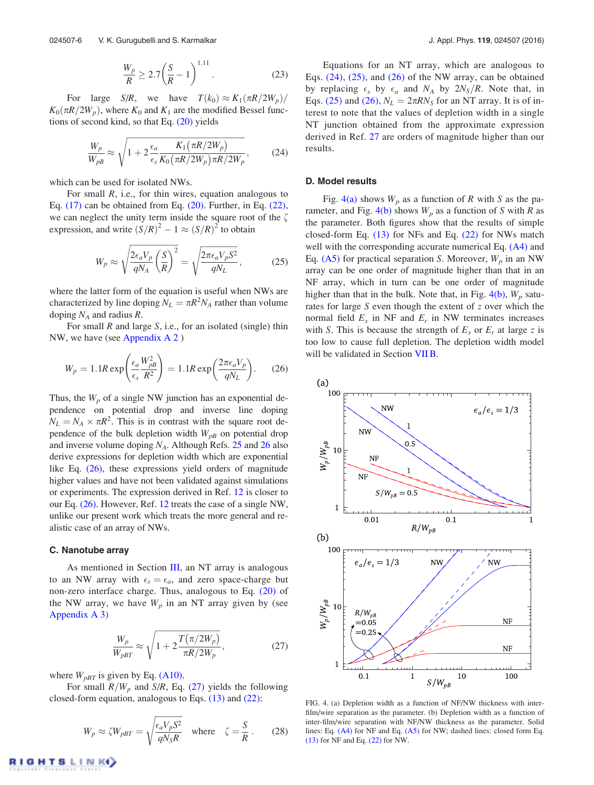$$
\frac{W_p}{R} \ge 2.7 \left(\frac{S}{R} - 1\right)^{1.11}.\tag{23}
$$

For large *S*/*R*, we have  $T(k_0) \approx K_1(\pi R/2W_p)$ /  $K_0(\pi R/2W_p)$ , where  $K_0$  and  $K_1$  are the modified Bessel functions of second kind, so that Eq. (20) yields

$$
\frac{W_p}{W_{pB}} \approx \sqrt{1 + 2\frac{\epsilon_a}{\epsilon_s} \frac{K_1(\pi R/2W_p)}{K_0(\pi R/2W_p)\pi R/2W_p}},\tag{24}
$$

which can be used for isolated NWs.

For small *R*, i.e., for thin wires, equation analogous to Eq. (17) can be obtained from Eq. (20). Further, in Eq. (22), we can neglect the unity term inside the square root of the  $\zeta$ expression, and write  $(S/R)^2 - 1 \approx (S/R)^2$  to obtain

$$
W_p \approx \sqrt{\frac{2\epsilon_a V_p}{qN_A} \left(\frac{S}{R}\right)^2} = \sqrt{\frac{2\pi\epsilon_a V_p S^2}{qN_L}},\qquad(25)
$$

where the latter form of the equation is useful when NWs are characterized by line doping  $N_L = \pi R^2 N_A$  rather than volume doping *N<sup>A</sup>* and radius *R*.

For small *R* and large *S*, i.e., for an isolated (single) thin NW, we have (see Appendix A 2 )

$$
W_p = 1.1R \exp\left(\frac{\epsilon_a W_{pB}^2}{\epsilon_s R^2}\right) = 1.1R \exp\left(\frac{2\pi\epsilon_a V_p}{qN_L}\right). \tag{26}
$$

Thus, the  $W_p$  of a single NW junction has an exponential dependence on potential drop and inverse line doping  $N_L = N_A \times \pi R^2$ . This is in contrast with the square root dependence of the bulk depletion width  $W_{pB}$  on potential drop and inverse volume doping *NA*. Although Refs. 25 and 26 also derive expressions for depletion width which are exponential like Eq. (26), these expressions yield orders of magnitude higher values and have not been validated against simulations or experiments. The expression derived in Ref. 12 is closer to our Eq. (26). However, Ref. 12 treats the case of a single NW, unlike our present work which treats the more general and realistic case of an array of NWs.

### C. Nanotube array

As mentioned in Section III, an NT array is analogous to an NW array with  $\epsilon_s = \epsilon_a$ , and zero space-charge but non-zero interface charge. Thus, analogous to Eq. (20) of the NW array, we have  $W_p$  in an NT array given by (see Appendix A 3)

$$
\frac{W_p}{W_{pBT}} \approx \sqrt{1 + 2\frac{T(\pi/2W_p)}{\pi R/2W_p}},\tag{27}
$$

where  $W_{pBT}$  is given by Eq. (A10).

For small  $R/W_p$  and  $S/R$ , Eq. (27) yields the following closed-form equation, analogous to Eqs.  $(13)$  and  $(22)$ :

$$
W_p \approx \zeta W_{pBT} = \sqrt{\frac{\epsilon_a V_p S^2}{qN_S R}} \quad \text{where} \quad \zeta = \frac{S}{R} \,. \tag{28}
$$

Equations for an NT array, which are analogous to Eqs.  $(24)$ ,  $(25)$ , and  $(26)$  of the NW array, can be obtained by replacing  $\epsilon_s$  by  $\epsilon_a$  and  $N_A$  by  $2N_S/R$ . Note that, in Eqs. (25) and (26),  $N_L = 2\pi R N_S$  for an NT array. It is of interest to note that the values of depletion width in a single NT junction obtained from the approximate expression derived in Ref. 27 are orders of magnitude higher than our results.

## D. Model results

Fig.  $4(a)$  shows  $W_p$  as a function of *R* with *S* as the parameter, and Fig. 4(b) shows  $W_p$  as a function of *S* with *R* as the parameter. Both figures show that the results of simple closed-form Eq. (13) for NFs and Eq. (22) for NWs match well with the corresponding accurate numerical Eq.  $(A4)$  and Eq.  $(A5)$  for practical separation *S*. Moreover,  $W_p$  in an NW array can be one order of magnitude higher than that in an NF array, which in turn can be one order of magnitude higher than that in the bulk. Note that, in Fig.  $4(b)$ ,  $W_p$  saturates for large *S* even though the extent of *z* over which the normal field  $E_x$  in NF and  $E_r$  in NW terminates increases with *S*. This is because the strength of  $E_x$  or  $E_r$  at large *z* is too low to cause full depletion. The depletion width model will be validated in Section VII B.



FIG. 4. (a) Depletion width as a function of NF/NW thickness with interfilm/wire separation as the parameter. (b) Depletion width as a function of inter-film/wire separation with NF/NW thickness as the parameter. Solid lines: Eq. (A4) for NF and Eq. (A5) for NW; dashed lines: closed form Eq. (13) for NF and Eq. (22) for NW.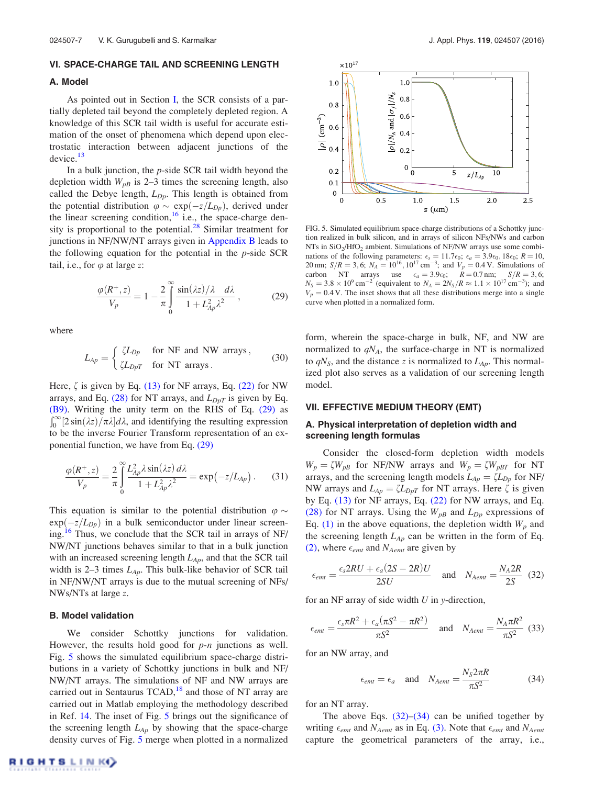# VI. SPACE-CHARGE TAIL AND SCREENING LENGTH

#### A. Model

As pointed out in Section I, the SCR consists of a partially depleted tail beyond the completely depleted region. A knowledge of this SCR tail width is useful for accurate estimation of the onset of phenomena which depend upon electrostatic interaction between adjacent junctions of the  $device.<sup>13</sup>$ 

In a bulk junction, the *p*-side SCR tail width beyond the depletion width  $W_{pB}$  is 2–3 times the screening length, also called the Debye length, *LDp*. This length is obtained from the potential distribution  $\varphi \sim \exp(-z/L_{Dp})$ , derived under the linear screening condition,  $16$  i.e., the space-charge density is proportional to the potential. $^{28}$  Similar treatment for junctions in NF/NW/NT arrays given in Appendix B leads to the following equation for the potential in the *p*-side SCR tail, i.e., for  $\varphi$  at large *z*:

$$
\frac{\varphi(R^+,z)}{V_p} = 1 - \frac{2}{\pi} \int_0^\infty \frac{\sin(\lambda z)/\lambda \ d\lambda}{1 + L_{Ap}^2 \lambda^2},\tag{29}
$$

where

$$
L_{Ap} = \begin{cases} \zeta L_{Dp} & \text{for NF and NW arrays,} \\ \zeta L_{DpT} & \text{for NT arrays.} \end{cases}
$$
 (30)

Here,  $\zeta$  is given by Eq. (13) for NF arrays, Eq. (22) for NW arrays, and Eq.  $(28)$  for NT arrays, and  $L_{DpT}$  is given by Eq. (B9). Writing the unity term on the RHS of Eq. (29) as  $\int_0^\infty [2\sin(\lambda z)/\pi\lambda]d\lambda$ , and identifying the resulting expression to be the inverse Fourier Transform representation of an exponential function, we have from Eq. (29)

$$
\frac{\varphi(R^+,z)}{V_p} = \frac{2}{\pi} \int_0^\infty \frac{L_{Ap}^2 \lambda \sin(\lambda z) d\lambda}{1 + L_{Ap}^2 \lambda^2} = \exp(-z/L_{Ap}) \,. \tag{31}
$$

This equation is similar to the potential distribution  $\varphi \sim$  $\exp(-z/L_{Dp})$  in a bulk semiconductor under linear screening.<sup>16</sup> Thus, we conclude that the SCR tail in arrays of NF/ NW/NT junctions behaves similar to that in a bulk junction with an increased screening length *LAp*, and that the SCR tail width is 2–3 times *LAp*. This bulk-like behavior of SCR tail in NF/NW/NT arrays is due to the mutual screening of NFs/ NWs/NTs at large *z*.

## B. Model validation

We consider Schottky junctions for validation. However, the results hold good for *p-n* junctions as well. Fig. 5 shows the simulated equilibrium space-charge distributions in a variety of Schottky junctions in bulk and NF/ NW/NT arrays. The simulations of NF and NW arrays are carried out in Sentaurus  $TCAD$ ,<sup>18</sup> and those of NT array are carried out in Matlab employing the methodology described in Ref. 14. The inset of Fig. 5 brings out the significance of the screening length  $L_{Ap}$  by showing that the space-charge density curves of Fig. 5 merge when plotted in a normalized



FIG. 5. Simulated equilibrium space-charge distributions of a Schottky junction realized in bulk silicon, and in arrays of silicon NFs/NWs and carbon NTs in SiO<sub>2</sub>/HfO<sub>2</sub> ambient. Simulations of NF/NW arrays use some combinations of the following parameters:  $\epsilon_s = 11.7\epsilon_0$ ;  $\epsilon_a = 3.9\epsilon_0$ ,  $18\epsilon_0$ ;  $R = 10$ , 20 nm;  $S/R = 3, 6$ ;  $N_A = 10^{16}, 10^{17} \text{ cm}^{-3}$ ; and  $V_p = 0.4 \text{ V}$ . Simulations of carbon NT arrays use  $\epsilon_a = 3.9\epsilon_0;$   $R = 0.7$  nm;  $S/R = 3, 6;$  $N_S = 3.8 \times 10^9 \text{ cm}^{-2}$  (equivalent to  $N_A = 2N_S/R \approx 1.1 \times 10^{17} \text{ cm}^{-3}$ ); and  $V_p = 0.4$  V. The inset shows that all these distributions merge into a single curve when plotted in a normalized form.

form, wherein the space-charge in bulk, NF, and NW are normalized to  $qN_A$ , the surface-charge in NT is normalized to  $qN_s$ , and the distance *z* is normalized to  $L_{Ap}$ . This normalized plot also serves as a validation of our screening length model.

# VII. EFFECTIVE MEDIUM THEORY (EMT)

# A. Physical interpretation of depletion width and screening length formulas

Consider the closed-form depletion width models  $W_p = \zeta W_{pB}$  for NF/NW arrays and  $W_p = \zeta W_{pBT}$  for NT arrays, and the screening length models  $L_{Ap} = \zeta L_{Dp}$  for NF/ NW arrays and  $L_{Ap} = \zeta L_{DpT}$  for NT arrays. Here  $\zeta$  is given by Eq. (13) for NF arrays, Eq. (22) for NW arrays, and Eq. (28) for NT arrays. Using the  $W_{pB}$  and  $L_{Dp}$  expressions of Eq. (1) in the above equations, the depletion width  $W_p$  and the screening length  $L_{Ap}$  can be written in the form of Eq. (2), where  $\epsilon_{emt}$  and  $N_{Aemt}$  are given by

$$
\epsilon_{emt} = \frac{\epsilon_s 2RU + \epsilon_a (2S - 2R)U}{2SU} \quad \text{and} \quad N_{Aemt} = \frac{N_A 2R}{2S} \quad (32)
$$

for an NF array of side width *U* in *y*-direction,

$$
\epsilon_{emt} = \frac{\epsilon_s \pi R^2 + \epsilon_a (\pi S^2 - \pi R^2)}{\pi S^2} \quad \text{and} \quad N_{Aemt} = \frac{N_A \pi R^2}{\pi S^2} \tag{33}
$$

for an NW array, and

$$
\epsilon_{emt} = \epsilon_a
$$
 and  $N_{Aemt} = \frac{N_S 2\pi R}{\pi S^2}$  (34)

for an NT array.

The above Eqs.  $(32)$ – $(34)$  can be unified together by writing  $\epsilon_{emt}$  and  $N_{Aemt}$  as in Eq. (3). Note that  $\epsilon_{emt}$  and  $N_{Aemt}$ capture the geometrical parameters of the array, i.e.,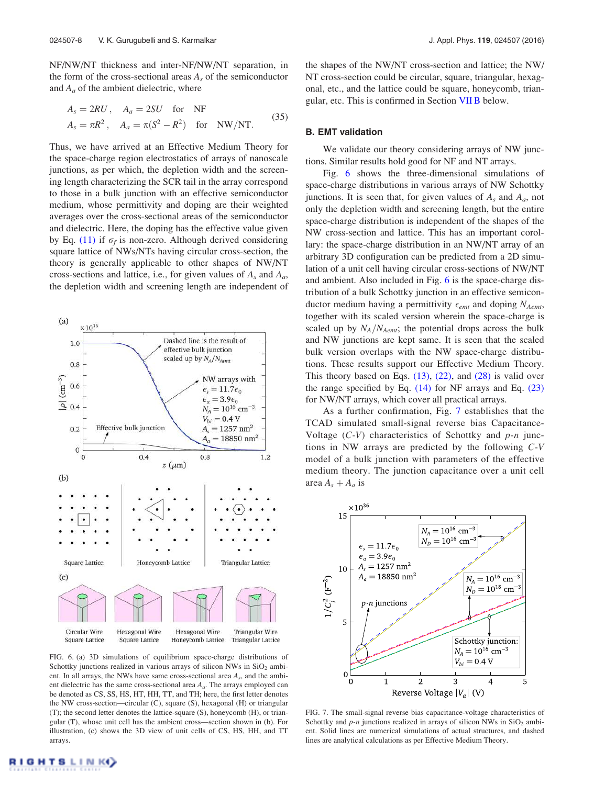NF/NW/NT thickness and inter-NF/NW/NT separation, in the form of the cross-sectional areas  $A_s$  of the semiconductor and  $A_a$  of the ambient dielectric, where

$$
A_s = 2RU, \quad A_a = 2SU \quad \text{for} \quad \text{NF}
$$
  

$$
A_s = \pi R^2, \quad A_a = \pi (S^2 - R^2) \quad \text{for} \quad \text{NW/NT.}
$$
 (35)

Thus, we have arrived at an Effective Medium Theory for the space-charge region electrostatics of arrays of nanoscale junctions, as per which, the depletion width and the screening length characterizing the SCR tail in the array correspond to those in a bulk junction with an effective semiconductor medium, whose permittivity and doping are their weighted averages over the cross-sectional areas of the semiconductor and dielectric. Here, the doping has the effective value given by Eq.  $(11)$  if  $\sigma_f$  is non-zero. Although derived considering square lattice of NWs/NTs having circular cross-section, the theory is generally applicable to other shapes of NW/NT cross-sections and lattice, i.e., for given values of  $A_s$  and  $A_a$ , the depletion width and screening length are independent of



FIG. 6. (a) 3D simulations of equilibrium space-charge distributions of Schottky junctions realized in various arrays of silicon NWs in  $SiO<sub>2</sub>$  ambient. In all arrays, the NWs have same cross-sectional area *A<sup>s</sup>* , and the ambient dielectric has the same cross-sectional area *A<sup>a</sup>* . The arrays employed can be denoted as CS, SS, HS, HT, HH, TT, and TH; here, the first letter denotes the NW cross-section—circular (C), square (S), hexagonal (H) or triangular (T); the second letter denotes the lattice-square (S), honeycomb (H), or triangular (T), whose unit cell has the ambient cross—section shown in (b). For illustration, (c) shows the 3D view of unit cells of CS, HS, HH, and TT arrays.

the shapes of the NW/NT cross-section and lattice; the NW/ NT cross-section could be circular, square, triangular, hexagonal, etc., and the lattice could be square, honeycomb, triangular, etc. This is confirmed in Section VII B below.

#### B. EMT validation

We validate our theory considering arrays of NW junctions. Similar results hold good for NF and NT arrays.

Fig. 6 shows the three-dimensional simulations of space-charge distributions in various arrays of NW Schottky junctions. It is seen that, for given values of *A<sup>s</sup>* and *Aa*, not only the depletion width and screening length, but the entire space-charge distribution is independent of the shapes of the NW cross-section and lattice. This has an important corollary: the space-charge distribution in an NW/NT array of an arbitrary 3D configuration can be predicted from a 2D simulation of a unit cell having circular cross-sections of NW/NT and ambient. Also included in Fig. 6 is the space-charge distribution of a bulk Schottky junction in an effective semiconductor medium having a permittivity  $\epsilon_{emt}$  and doping  $N_{Aemt}$ , together with its scaled version wherein the space-charge is scaled up by  $N_A/N_{Aemt}$ ; the potential drops across the bulk and NW junctions are kept same. It is seen that the scaled bulk version overlaps with the NW space-charge distributions. These results support our Effective Medium Theory. This theory based on Eqs.  $(13)$ ,  $(22)$ , and  $(28)$  is valid over the range specified by Eq.  $(14)$  for NF arrays and Eq.  $(23)$ for NW/NT arrays, which cover all practical arrays.

As a further confirmation, Fig. 7 establishes that the TCAD simulated small-signal reverse bias Capacitance-Voltage (*C-V*) characteristics of Schottky and *p-n* junctions in NW arrays are predicted by the following *C-V* model of a bulk junction with parameters of the effective medium theory. The junction capacitance over a unit cell area  $A_s + A_a$  is



FIG. 7. The small-signal reverse bias capacitance-voltage characteristics of Schottky and  $p$ -n junctions realized in arrays of silicon NWs in  $SiO<sub>2</sub>$  ambient. Solid lines are numerical simulations of actual structures, and dashed lines are analytical calculations as per Effective Medium Theory.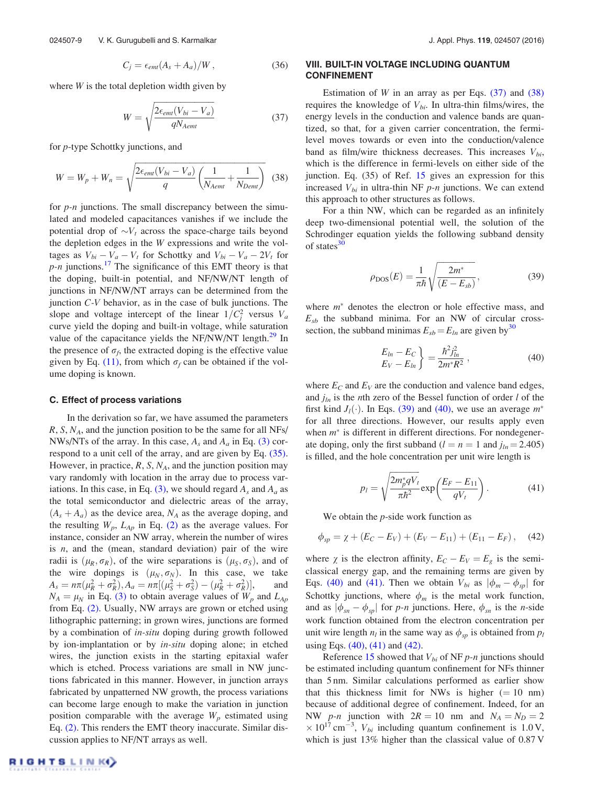$$
C_j = \epsilon_{emt}(A_s + A_a)/W, \qquad (36)
$$

where *W* is the total depletion width given by

$$
W = \sqrt{\frac{2\epsilon_{emt}(V_{bi} - V_a)}{qN_{Aemt}}}
$$
(37)

for *p*-type Schottky junctions, and

$$
W = W_p + W_n = \sqrt{\frac{2\epsilon_{emt}(V_{bi} - V_a)}{q} \left(\frac{1}{N_{Aemt}} + \frac{1}{N_{Demt}}\right)}
$$
(38)

for *p-n* junctions. The small discrepancy between the simulated and modeled capacitances vanishes if we include the potential drop of  $\sim V_t$  across the space-charge tails beyond the depletion edges in the *W* expressions and write the voltages as  $V_{bi} - V_a - V_t$  for Schottky and  $V_{bi} - V_a - 2V_t$  for  $p-n$  junctions.<sup>17</sup> The significance of this EMT theory is that the doping, built-in potential, and NF/NW/NT length of junctions in NF/NW/NT arrays can be determined from the junction *C-V* behavior, as in the case of bulk junctions. The slope and voltage intercept of the linear  $1/C_j^2$  versus  $V_a$ curve yield the doping and built-in voltage, while saturation value of the capacitance yields the NF/NW/NT length.<sup>29</sup> In the presence of  $\sigma_f$ , the extracted doping is the effective value given by Eq.  $(11)$ , from which  $\sigma_f$  can be obtained if the volume doping is known.

#### C. Effect of process variations

In the derivation so far, we have assumed the parameters *R*, *S*, *NA*, and the junction position to be the same for all NFs/ NWs/NTs of the array. In this case,  $A_s$  and  $A_a$  in Eq. (3) correspond to a unit cell of the array, and are given by Eq. (35). However, in practice,  $R$ ,  $S$ ,  $N_A$ , and the junction position may vary randomly with location in the array due to process variations. In this case, in Eq. (3), we should regard  $A_s$  and  $A_a$  as the total semiconductor and dielectric areas of the array,  $(A<sub>s</sub> + A<sub>a</sub>)$  as the device area,  $N<sub>A</sub>$  as the average doping, and the resulting  $W_p$ ,  $L_{Ap}$  in Eq. (2) as the average values. For instance, consider an NW array, wherein the number of wires is *n*, and the (mean, standard deviation) pair of the wire radii is  $(\mu_R, \sigma_R)$ , of the wire separations is  $(\mu_S, \sigma_S)$ , and of the wire dopings is  $(\mu_N, \sigma_N)$ . In this case, we take  $A_s = n\pi(\mu_R^2 + \sigma_R^2), A_a = n\pi[(\mu_S^2 + \sigma_S^2) - (\mu_R^2 + \sigma_R^2)]$ and  $N_A = \mu_N$  in Eq. (3) to obtain average values of  $W_p$  and  $L_{Ap}$ from Eq. (2). Usually, NW arrays are grown or etched using lithographic patterning; in grown wires, junctions are formed by a combination of *in-situ* doping during growth followed by ion-implantation or by *in-situ* doping alone; in etched wires, the junction exists in the starting epitaxial wafer which is etched. Process variations are small in NW junctions fabricated in this manner. However, in junction arrays fabricated by unpatterned NW growth, the process variations can become large enough to make the variation in junction position comparable with the average  $W_p$  estimated using Eq. (2). This renders the EMT theory inaccurate. Similar discussion applies to NF/NT arrays as well.

## VIII. BUILT-IN VOLTAGE INCLUDING QUANTUM CONFINEMENT

Estimation of *W* in an array as per Eqs.  $(37)$  and  $(38)$ requires the knowledge of *Vbi*. In ultra-thin films/wires, the energy levels in the conduction and valence bands are quantized, so that, for a given carrier concentration, the fermilevel moves towards or even into the conduction/valence band as film/wire thickness decreases. This increases *Vbi*, which is the difference in fermi-levels on either side of the junction. Eq. (35) of Ref. 15 gives an expression for this increased  $V_{bi}$  in ultra-thin NF  $p$ -n junctions. We can extend this approach to other structures as follows.

For a thin NW, which can be regarded as an infinitely deep two-dimensional potential well, the solution of the Schrodinger equation yields the following subband density of states $30$ 

$$
\rho_{\text{DOS}}(E) = \frac{1}{\pi \hbar} \sqrt{\frac{2m^*}{(E - E_{sb})}},\tag{39}
$$

where  $m^*$  denotes the electron or hole effective mass, and  $E_{sb}$  the subband minima. For an NW of circular crosssection, the subband minimas  $E_{sb} = E_{ln}$  are given by<sup>30</sup>

$$
\begin{aligned} \frac{E_{ln} - E_C}{E_V - E_{ln}} \end{aligned} \bigg\} = \frac{\hbar^2 j_{ln}^2}{2m^* R^2} \,, \tag{40}
$$

where  $E_C$  and  $E_V$  are the conduction and valence band edges, and  $j_{ln}$  is the *n*th zero of the Bessel function of order *l* of the first kind  $J_l(\cdot)$ . In Eqs. (39) and (40), we use an average  $m^*$ for all three directions. However, our results apply even when  $m^*$  is different in different directions. For nondegenerate doping, only the first subband ( $l = n = 1$  and  $j_{ln} = 2.405$ ) is filled, and the hole concentration per unit wire length is

$$
p_l = \sqrt{\frac{2m_p^*qV_t}{\pi\hbar^2}} \exp\left(\frac{E_F - E_{11}}{qV_t}\right). \tag{41}
$$

We obtain the *p*-side work function as

$$
\phi_{sp} = \chi + (E_C - E_V) + (E_V - E_{11}) + (E_{11} - E_F), \quad (42)
$$

where  $\chi$  is the electron affinity,  $E_C - E_V = E_g$  is the semiclassical energy gap, and the remaining terms are given by Eqs. (40) and (41). Then we obtain  $V_{bi}$  as  $|\phi_m - \phi_{sp}|$  for Schottky junctions, where  $\phi_m$  is the metal work function, and as  $|\phi_{sn} - \phi_{sp}|$  for *p-n* junctions. Here,  $\phi_{sn}$  is the *n*-side work function obtained from the electron concentration per unit wire length  $n_l$  in the same way as  $\phi_{sp}$  is obtained from  $p_l$ using Eqs. (40), (41) and (42).

Reference 15 showed that *Vbi* of NF *p-n* junctions should be estimated including quantum confinement for NFs thinner than 5 nm. Similar calculations performed as earlier show that this thickness limit for NWs is higher  $(= 10 \text{ nm})$ because of additional degree of confinement. Indeed, for an NW *p-n* junction with  $2R = 10$  nm and  $N_A = N_D = 2$  $\times 10^{17}$  cm<sup>-3</sup>,  $V_{bi}$  including quantum confinement is 1.0 V, which is just 13% higher than the classical value of 0.87 V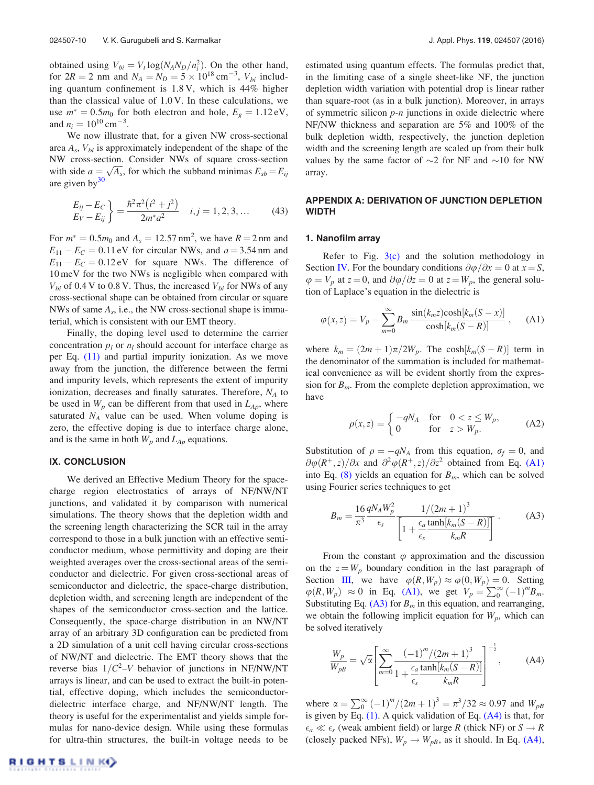obtained using  $V_{bi} = V_t \log(N_A N_D/n_i^2)$ . On the other hand, for  $2R = 2$  nm and  $N_A = N_D = 5 \times 10^{18} \text{ cm}^{-3}$ ,  $V_{bi}$  including quantum confinement is 1.8 V, which is 44% higher than the classical value of 1.0 V. In these calculations, we use  $m^* = 0.5m_0$  for both electron and hole,  $E_g = 1.12 \text{ eV}$ , and  $n_i = 10^{10}$  cm<sup>-3</sup>.

We now illustrate that, for a given NW cross-sectional area *A<sup>s</sup>* , *Vbi* is approximately independent of the shape of the NW cross-section. Consider NWs of square cross-section with side  $a = \sqrt{A_s}$ , for which the subband minimas  $E_{sb} = E_{ij}$ are given by $30$ 

$$
\begin{aligned} \frac{E_{ij} - E_C}{E_V - E_{ij}} &= \frac{\hbar^2 \pi^2 \left(i^2 + j^2\right)}{2m^* a^2} \quad i, j = 1, 2, 3, \dots \end{aligned} \tag{43}
$$

For  $m^* = 0.5m_0$  and  $A_s = 12.57 \text{ nm}^2$ , we have  $R = 2 \text{ nm}$  and  $E_{11} - E_C = 0.11$  eV for circular NWs, and  $a = 3.54$  nm and  $E_{11} - E_C = 0.12 \text{ eV}$  for square NWs. The difference of 10 meV for the two NWs is negligible when compared with  $V_{bi}$  of 0.4 V to 0.8 V. Thus, the increased  $V_{bi}$  for NWs of any cross-sectional shape can be obtained from circular or square NWs of same *A<sup>s</sup>* , i.e., the NW cross-sectional shape is immaterial, which is consistent with our EMT theory.

Finally, the doping level used to determine the carrier concentration  $p_l$  or  $n_l$  should account for interface charge as per Eq. (11) and partial impurity ionization. As we move away from the junction, the difference between the fermi and impurity levels, which represents the extent of impurity ionization, decreases and finally saturates. Therefore, *N<sup>A</sup>* to be used in  $W_p$  can be different from that used in  $L_{Ap}$ , where saturated  $N_A$  value can be used. When volume doping is zero, the effective doping is due to interface charge alone, and is the same in both  $W_p$  and  $L_{Ap}$  equations.

## IX. CONCLUSION

We derived an Effective Medium Theory for the spacecharge region electrostatics of arrays of NF/NW/NT junctions, and validated it by comparison with numerical simulations. The theory shows that the depletion width and the screening length characterizing the SCR tail in the array correspond to those in a bulk junction with an effective semiconductor medium, whose permittivity and doping are their weighted averages over the cross-sectional areas of the semiconductor and dielectric. For given cross-sectional areas of semiconductor and dielectric, the space-charge distribution, depletion width, and screening length are independent of the shapes of the semiconductor cross-section and the lattice. Consequently, the space-charge distribution in an NW/NT array of an arbitrary 3D configuration can be predicted from a 2D simulation of a unit cell having circular cross-sections of NW/NT and dielectric. The EMT theory shows that the reverse bias  $1/C^2-V$  behavior of junctions in NF/NW/NT arrays is linear, and can be used to extract the built-in potential, effective doping, which includes the semiconductordielectric interface charge, and NF/NW/NT length. The theory is useful for the experimentalist and yields simple formulas for nano-device design. While using these formulas for ultra-thin structures, the built-in voltage needs to be estimated using quantum effects. The formulas predict that, in the limiting case of a single sheet-like NF, the junction depletion width variation with potential drop is linear rather than square-root (as in a bulk junction). Moreover, in arrays of symmetric silicon *p-n* junctions in oxide dielectric where NF/NW thickness and separation are 5% and 100% of the bulk depletion width, respectively, the junction depletion width and the screening length are scaled up from their bulk values by the same factor of  $\sim$ 2 for NF and  $\sim$ 10 for NW array.

# APPENDIX A: DERIVATION OF JUNCTION DEPLETION WIDTH

## 1. Nanofilm array

Refer to Fig.  $3(c)$  and the solution methodology in Section IV. For the boundary conditions  $\partial \varphi / \partial x = 0$  at  $x = S$ ,  $\varphi = V_p$  at  $z = 0$ , and  $\partial \varphi / \partial z = 0$  at  $z = W_p$ , the general solution of Laplace's equation in the dielectric is

$$
\varphi(x,z) = V_p - \sum_{m=0}^{\infty} B_m \frac{\sin(k_m z) \cosh[k_m(S-x)]}{\cosh[k_m(S-R)]}, \quad \text{(A1)}
$$

where  $k_m = (2m + 1)\pi/2W_p$ . The cosh $[k_m(S - R)]$  term in the denominator of the summation is included for mathematical convenience as will be evident shortly from the expression for  $B_m$ . From the complete depletion approximation, we have

$$
\rho(x, z) = \begin{cases}\n-qN_A & \text{for} \quad 0 < z \le W_p, \\
0 & \text{for} \quad z > W_p.\n\end{cases}
$$
\n(A2)

Substitution of  $\rho = -qN_A$  from this equation,  $\sigma_f = 0$ , and  $\partial \varphi(R^+, z)/\partial x$  and  $\partial^2 \varphi(R^+, z)/\partial z^2$  obtained from Eq. (A1) into Eq. (8) yields an equation for  $B_m$ , which can be solved using Fourier series techniques to get

$$
B_m = \frac{16 \, qN_A W_p^2}{\pi^3} \frac{1/(2m+1)^3}{\epsilon_s} \frac{1/(2m+1)^3}{\left[1 + \frac{\epsilon_a \tanh[k_m(S-R)]}{k_m R}\right]} \,. \tag{A3}
$$

From the constant  $\varphi$  approximation and the discussion on the  $z = W_p$  boundary condition in the last paragraph of Section III, we have  $\varphi(R, W_p) \approx \varphi(0, W_p) = 0$ . Setting  $\varphi(R, W_p) \approx 0$  in Eq. (A1), we get  $V_p = \sum_{0}^{\infty} (-1)^m B_m$ . Substituting Eq.  $(A3)$  for  $B<sub>m</sub>$  in this equation, and rearranging, we obtain the following implicit equation for  $W_p$ , which can be solved iteratively

$$
\frac{W_p}{W_{pB}} = \sqrt{\alpha} \left[ \sum_{m=0}^{\infty} \frac{(-1)^m / (2m+1)^3}{1 + \frac{\epsilon_a}{\epsilon_s} \frac{\tanh[k_m(S-R)]}{k_m R}} \right]^{-\frac{1}{2}},
$$
 (A4)

where  $\alpha = \sum_{0}^{\infty} (-1)^{m} / (2m+1)^{3} = \pi^{3} / 32 \approx 0.97$  and  $W_{pB}$ is given by Eq.  $(1)$ . A quick validation of Eq.  $(A4)$  is that, for  $\epsilon_a \ll \epsilon_s$  (weak ambient field) or large *R* (thick NF) or  $S \to R$ (closely packed NFs),  $W_p \rightarrow W_{pB}$ , as it should. In Eq. (A4),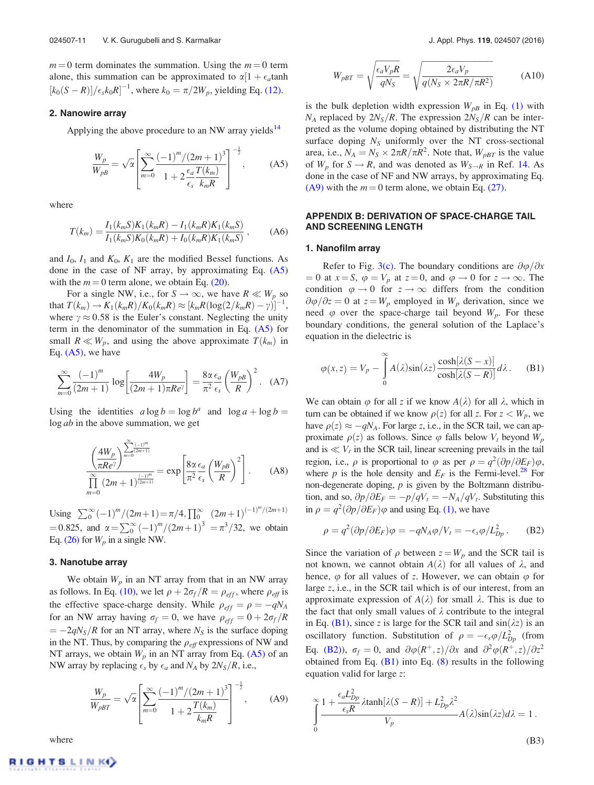$m = 0$  term dominates the summation. Using the  $m = 0$  term alone, this summation can be approximated to  $\alpha[1 + \epsilon_a \text{tanh}]$  $[k_0(S - R)]/\epsilon_s k_0 R]^{-1}$ , where  $k_0 = \pi/2W_p$ , yielding Eq. (12).

## 2. Nanowire array

Applying the above procedure to an NW array yields<sup>14</sup>

$$
\frac{W_p}{W_{pB}} = \sqrt{\alpha} \left[ \sum_{m=0}^{\infty} \frac{(-1)^m / (2m+1)^3}{1 + 2 \frac{\epsilon_a}{\epsilon_s} \frac{T(k_m)}{k_m R}} \right]^{-\frac{1}{2}},
$$
 (A5)

where

$$
T(k_m) = \frac{I_1(k_m S)K_1(k_m R) - I_1(k_m R)K_1(k_m S)}{I_1(k_m S)K_0(k_m R) + I_0(k_m R)K_1(k_m S)},
$$
 (A6)

and  $I_0$ ,  $I_1$  and  $K_0$ ,  $K_1$  are the modified Bessel functions. As done in the case of NF array, by approximating Eq. (A5) with the  $m = 0$  term alone, we obtain Eq. (20).

For a single NW, i.e., for  $S \to \infty$ , we have  $R \ll W_p$  so that  $T(k_m) \to K_1(k_m R)/K_0(k_m R) \approx [k_m R(\log(2/k_m R) - \gamma)]^{-1}$ , where  $\gamma \approx 0.58$  is the Euler's constant. Neglecting the unity term in the denominator of the summation in Eq.  $(A5)$  for small  $R \ll W_p$ , and using the above approximate  $T(k_m)$  in Eq.  $(A5)$ , we have

$$
\sum_{m=0}^{\infty} \frac{(-1)^m}{(2m+1)} \log \left[ \frac{4W_p}{(2m+1)\pi Re^{\gamma}} \right] = \frac{8\alpha}{\pi^2} \frac{\epsilon_a}{\epsilon_s} \left( \frac{W_{pB}}{R} \right)^2. \quad (A7)
$$

Using the identities  $a \log b = \log b^a$  and  $\log a + \log b =$ log *ab* in the above summation, we get

$$
\frac{\left(\frac{4W_p}{\pi Re^{\gamma}}\right)^{\sum_{m=0}^{\infty} \frac{(-1)^m}{(2m+1)}}}{\prod_{m=0}^{\infty} (2m+1)^{\frac{(-1)^m}{(2m+1)}}} = \exp\left[\frac{8\alpha \epsilon_a}{\pi^2 \epsilon_s} \left(\frac{W_{pB}}{R}\right)^2\right].
$$
 (A8)

Using  $\sum_{0}^{\infty} (-1)^{m} / (2m+1) = \pi / 4$ ,  $\prod_{0}^{\infty} (2m+1)^{(-1)^{m} / (2m+1)}$  $= 0.825$ , and  $\alpha = \sum_{0}^{\infty} (-1)^{m} / (2m+1)^{3} = \pi^{3} / 32$ , we obtain Eq.  $(26)$  for  $W_p$  in a single NW.

## 3. Nanotube array

We obtain  $W_p$  in an NT array from that in an NW array as follows. In Eq. (10), we let  $\rho + 2\sigma_f/R = \rho_{eff}$ , where  $\rho_{eff}$  is the effective space-charge density. While  $\rho_{eff} = \rho = -qN_A$ for an NW array having  $\sigma_f = 0$ , we have  $\rho_{eff} = 0 + 2\sigma_f/R$  $= -2qN<sub>S</sub>/R$  for an NT array, where  $N<sub>S</sub>$  is the surface doping in the NT. Thus, by comparing the  $\rho_{\text{eff}}$  expressions of NW and NT arrays, we obtain  $W_p$  in an NT array from Eq. (A5) of an NW array by replacing  $\epsilon_s$  by  $\epsilon_a$  and  $N_A$  by  $2N_S/R$ , i.e.,

$$
\frac{W_p}{W_{pBT}} = \sqrt{\alpha} \left[ \sum_{m=0}^{\infty} \frac{(-1)^m / (2m+1)^3}{1 + 2 \frac{T(k_m)}{k_m R}} \right]^{-\frac{1}{2}}, \quad (A9)
$$

where

GHTSLINK<sup>(</sup>)

$$
W_{pBT} = \sqrt{\frac{\epsilon_a V_p R}{qN_S}} = \sqrt{\frac{2\epsilon_a V_p}{q(N_S \times 2\pi R/\pi R^2)}}
$$
(A10)

is the bulk depletion width expression  $W_{pB}$  in Eq. (1) with  $N_A$  replaced by  $2N_S/R$ . The expression  $2N_S/R$  can be interpreted as the volume doping obtained by distributing the NT surface doping  $N<sub>S</sub>$  uniformly over the NT cross-sectional area, i.e.,  $N_A = N_S \times 2\pi R / \pi R^2$ . Note that,  $W_{pBT}$  is the value of  $W_p$  for  $S \to R$ , and was denoted as  $W_{S \to R}$  in Ref. 14. As done in the case of NF and NW arrays, by approximating Eq. (A9) with the  $m = 0$  term alone, we obtain Eq. (27).

## APPENDIX B: DERIVATION OF SPACE-CHARGE TAIL AND SCREENING LENGTH

## 1. Nanofilm array

Refer to Fig. 3(c). The boundary conditions are  $\partial \varphi / \partial x$  $= 0$  at  $x = S$ ,  $\varphi = V_p$  at  $z = 0$ , and  $\varphi \rightarrow 0$  for  $z \rightarrow \infty$ . The condition  $\varphi \to 0$  for  $z \to \infty$  differs from the condition  $\partial \varphi / \partial z = 0$  at  $z = W_p$  employed in  $W_p$  derivation, since we need  $\varphi$  over the space-charge tail beyond  $W_p$ . For these boundary conditions, the general solution of the Laplace's equation in the dielectric is

$$
\varphi(x, z) = V_p - \int_0^\infty A(\lambda) \sin(\lambda z) \frac{\cosh[\lambda(S - x)]}{\cosh[\lambda(S - R)]} d\lambda.
$$
 (B1)

We can obtain  $\varphi$  for all *z* if we know  $A(\lambda)$  for all  $\lambda$ , which in turn can be obtained if we know  $\rho(z)$  for all *z*. For  $z < W_p$ , we have  $\rho(z) \approx -qN_A$ . For large *z*, i.e., in the SCR tail, we can approximate  $\rho(z)$  as follows. Since  $\varphi$  falls below  $V_t$  beyond  $W_p$ and is  $\ll V_t$  in the SCR tail, linear screening prevails in the tail region, i.e.,  $\rho$  is proportional to  $\varphi$  as per  $\rho = q^2 \left(\frac{\partial p}{\partial \varepsilon_F}\right) \varphi$ , where *p* is the hole density and  $E_F$  is the Fermi-level.<sup>28</sup> For non-degenerate doping, *p* is given by the Boltzmann distribution, and so,  $\partial p/\partial E_F = -p/qV_t = -N_A/qV_t$ . Substituting this in  $\rho = q^2(\partial p/\partial E_F)\varphi$  and using Eq. (1), we have

$$
\rho = q^2 (\partial p / \partial E_F) \varphi = -q N_A \varphi / V_t = -\epsilon_s \varphi / L_{Dp}^2. \tag{B2}
$$

Since the variation of  $\rho$  between  $z = W_p$  and the SCR tail is not known, we cannot obtain  $A(\lambda)$  for all values of  $\lambda$ , and hence,  $\varphi$  for all values of *z*. However, we can obtain  $\varphi$  for large *z*, i.e., in the SCR tail which is of our interest, from an approximate expression of  $A(\lambda)$  for small  $\lambda$ . This is due to the fact that only small values of  $\lambda$  contribute to the integral in Eq. (B1), since *z* is large for the SCR tail and  $sin(\lambda z)$  is an oscillatory function. Substitution of  $\rho = -\epsilon_s \varphi / L_{Dp}^2$  (from Eq. (B2)),  $\sigma_f = 0$ , and  $\partial \varphi(R^+, z)/\partial x$  and  $\partial^2 \varphi(R^+, z)/\partial z^2$ obtained from Eq.  $(B1)$  into Eq.  $(8)$  results in the following equation valid for large *z*:

$$
\int_{0}^{\infty} \frac{1 + \frac{\epsilon_a L_{Dp}^2}{\epsilon_s R} \lambda \tanh[\lambda(S - R)] + L_{Dp}^2 \lambda^2}{V_p} A(\lambda) \sin(\lambda z) d\lambda = 1.
$$
\n(B3)